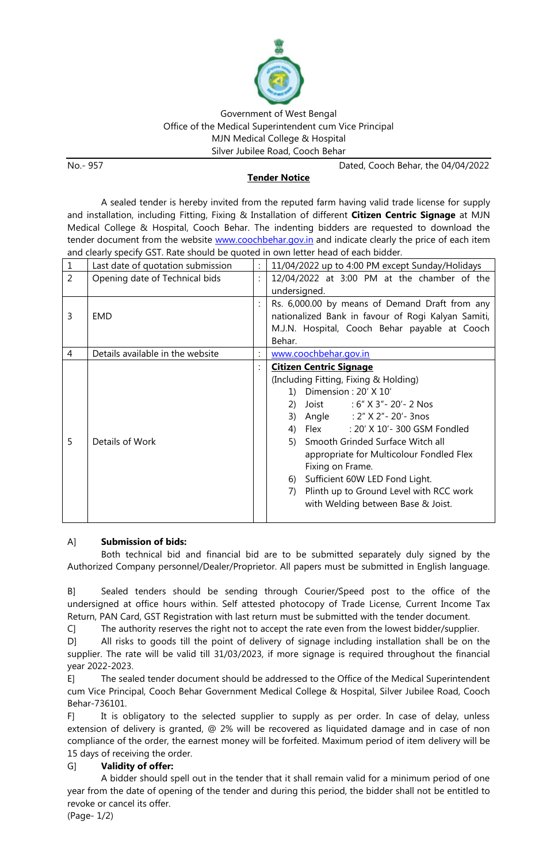

## Government of West Bengal Office of the Medical Superintendent cum Vice Principal MJN Medical College & Hospital Silver Jubilee Road, Cooch Behar

No.- 957 Dated, Cooch Behar, the 04/04/2022

## **Tender Notice**

A sealed tender is hereby invited from the reputed farm having valid trade license for supply and installation, including Fitting, Fixing & Installation of different **Citizen Centric Signage** at MJN Medical College & Hospital, Cooch Behar. The indenting bidders are requested to download the tender document from the website [www.coochbehar.gov.in](http://www.coochbehar.gov.in/) and indicate clearly the price of each item and clearly specify GST. Rate should be quoted in own letter head of each bidder.

| 1              | Last date of quotation submission |                | 11/04/2022 up to 4:00 PM except Sunday/Holidays    |
|----------------|-----------------------------------|----------------|----------------------------------------------------|
| $\overline{2}$ | Opening date of Technical bids    | ÷              | $12/04/2022$ at 3:00 PM at the chamber of the      |
|                |                                   |                | undersigned.                                       |
|                |                                   |                | Rs. 6,000.00 by means of Demand Draft from any     |
| 3              | EMD                               |                | nationalized Bank in favour of Rogi Kalyan Samiti, |
|                |                                   |                | M.J.N. Hospital, Cooch Behar payable at Cooch      |
|                |                                   |                | Behar.                                             |
| 4              | Details available in the website  | $\ddot{\cdot}$ | www.coochbehar.gov.in                              |
|                |                                   |                | <b>Citizen Centric Signage</b>                     |
|                |                                   |                | (Including Fitting, Fixing & Holding)              |
|                |                                   |                | 1) Dimension : $20'$ X $10'$                       |
|                |                                   |                | $:6"$ X 3" - 20' - 2 Nos<br>Joist<br>2)            |
|                |                                   |                | Angle : 2" X 2" - 20' - 3nos<br>3)                 |
|                |                                   |                | : 20' X 10'- 300 GSM Fondled<br>Flex<br>4)         |
| 5              | Details of Work                   |                | 5) Smooth Grinded Surface Witch all                |
|                |                                   |                | appropriate for Multicolour Fondled Flex           |
|                |                                   |                | Fixing on Frame.                                   |
|                |                                   |                | Sufficient 60W LED Fond Light.<br>6)               |
|                |                                   |                | Plinth up to Ground Level with RCC work<br>7)      |
|                |                                   |                | with Welding between Base & Joist.                 |
|                |                                   |                |                                                    |

## A] **Submission of bids:**

Both technical bid and financial bid are to be submitted separately duly signed by the Authorized Company personnel/Dealer/Proprietor. All papers must be submitted in English language.

B] Sealed tenders should be sending through Courier/Speed post to the office of the undersigned at office hours within. Self attested photocopy of Trade License, Current Income Tax Return, PAN Card, GST Registration with last return must be submitted with the tender document.

C] The authority reserves the right not to accept the rate even from the lowest bidder/supplier.

D] All risks to goods till the point of delivery of signage including installation shall be on the supplier. The rate will be valid till 31/03/2023, if more signage is required throughout the financial year 2022-2023.

E] The sealed tender document should be addressed to the Office of the Medical Superintendent cum Vice Principal, Cooch Behar Government Medical College & Hospital, Silver Jubilee Road, Cooch Behar-736101.

F] It is obligatory to the selected supplier to supply as per order. In case of delay, unless extension of delivery is granted, @ 2% will be recovered as liquidated damage and in case of non compliance of the order, the earnest money will be forfeited. Maximum period of item delivery will be 15 days of receiving the order.

## G] **Validity of offer:**

A bidder should spell out in the tender that it shall remain valid for a minimum period of one year from the date of opening of the tender and during this period, the bidder shall not be entitled to revoke or cancel its offer.

(Page- 1/2)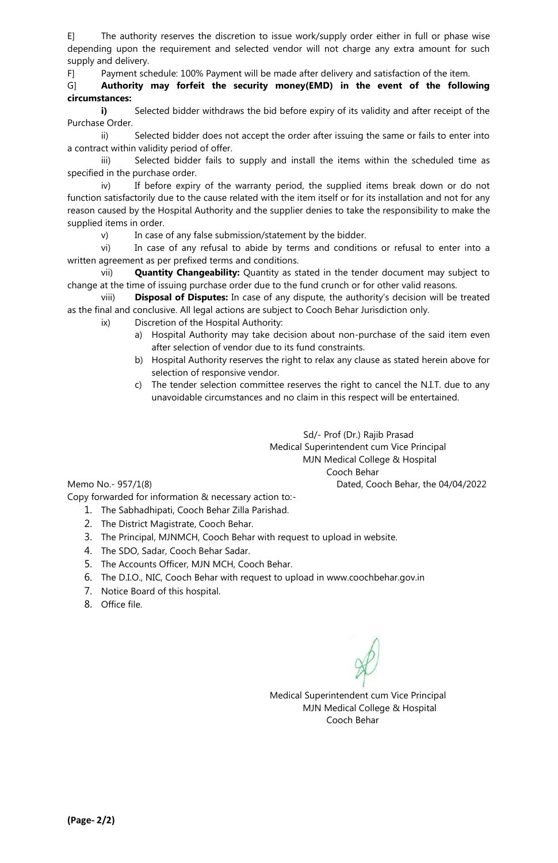E] The authority reserves the discretion to issue work/supply order either in full or phase wise depending upon the requirement and selected vendor will not charge any extra amount for such supply and delivery.

F] Payment schedule: 100% Payment will be made after delivery and satisfaction of the item.

G] **Authority may forfeit the security money(EMD) in the event of the following circumstances:**

**i)** Selected bidder withdraws the bid before expiry of its validity and after receipt of the Purchase Order.

ii) Selected bidder does not accept the order after issuing the same or fails to enter into a contract within validity period of offer.

iii) Selected bidder fails to supply and install the items within the scheduled time as specified in the purchase order.

iv) If before expiry of the warranty period, the supplied items break down or do not function satisfactorily due to the cause related with the item itself or for its installation and not for any reason caused by the Hospital Authority and the supplier denies to take the responsibility to make the supplied items in order.

v) In case of any false submission/statement by the bidder.

vi) In case of any refusal to abide by terms and conditions or refusal to enter into a written agreement as per prefixed terms and conditions.

vii) **Quantity Changeability:** Quantity as stated in the tender document may subject to change at the time of issuing purchase order due to the fund crunch or for other valid reasons.

viii) **Disposal of Disputes:** In case of any dispute, the authority's decision will be treated as the final and conclusive. All legal actions are subject to Cooch Behar Jurisdiction only.

ix) Discretion of the Hospital Authority:

- a) Hospital Authority may take decision about non-purchase of the said item even after selection of vendor due to its fund constraints.
- b) Hospital Authority reserves the right to relax any clause as stated herein above for selection of responsive vendor.
- c) The tender selection committee reserves the right to cancel the N.I.T. due to any unavoidable circumstances and no claim in this respect will be entertained.

Sd/- Prof (Dr.) Rajib Prasad Medical Superintendent cum Vice Principal MJN Medical College & Hospital Cooch Behar Memo No.- 957/1(8) Dated, Cooch Behar, the 04/04/2022

Copy forwarded for information & necessary action to:-

- 1. The Sabhadhipati, Cooch Behar Zilla Parishad.
- 2. The District Magistrate, Cooch Behar.
- 3. The Principal, MJNMCH, Cooch Behar with request to upload in website.
- 4. The SDO, Sadar, Cooch Behar Sadar.
- 5. The Accounts Officer, MJN MCH, Cooch Behar.
- 6. The D.I.O., NIC, Cooch Behar with request to upload in www.coochbehar.gov.in
- 7. Notice Board of this hospital.
- 8. Office file.

Medical Superintendent cum Vice Principal MJN Medical College & Hospital Cooch Behar